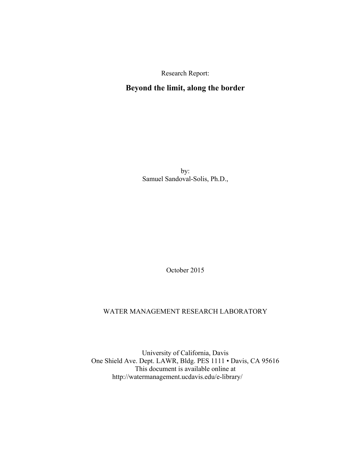Research Report:

# **Beyond the limit, along the border**

by: Samuel Sandoval-Solis, Ph.D.,

October 2015

#### WATER MANAGEMENT RESEARCH LABORATORY

University of California, Davis One Shield Ave. Dept. LAWR, Bldg. PES 1111 • Davis, CA 95616 This document is available online at http://watermanagement.ucdavis.edu/e-library/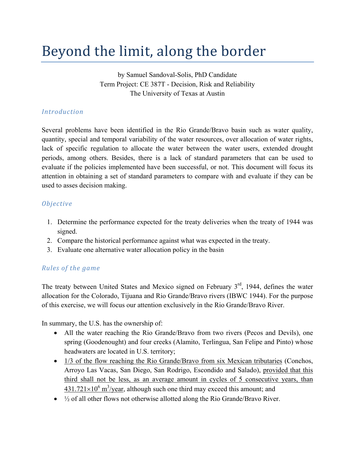# Beyond the limit, along the border

by Samuel Sandoval-Solis, PhD Candidate Term Project: CE 387T - Decision, Risk and Reliability The University of Texas at Austin

## *Introduction*

Several problems have been identified in the Rio Grande/Bravo basin such as water quality, quantity, special and temporal variability of the water resources, over allocation of water rights, lack of specific regulation to allocate the water between the water users, extended drought periods, among others. Besides, there is a lack of standard parameters that can be used to evaluate if the policies implemented have been successful, or not. This document will focus its attention in obtaining a set of standard parameters to compare with and evaluate if they can be used to asses decision making.

## *Objective*

- 1. Determine the performance expected for the treaty deliveries when the treaty of 1944 was signed.
- 2. Compare the historical performance against what was expected in the treaty.
- 3. Evaluate one alternative water allocation policy in the basin

## *Rules of the game*

The treaty between United States and Mexico signed on February  $3<sup>rd</sup>$ , 1944, defines the water allocation for the Colorado, Tijuana and Rio Grande/Bravo rivers (IBWC 1944). For the purpose of this exercise, we will focus our attention exclusively in the Rio Grande/Bravo River.

In summary, the U.S. has the ownership of:

- All the water reaching the Rio Grande/Bravo from two rivers (Pecos and Devils), one spring (Goodenought) and four creeks (Alamito, Terlingua, San Felipe and Pinto) whose headwaters are located in U.S. territory;
- 1/3 of the flow reaching the Rio Grande/Bravo from six Mexican tributaries (Conchos, Arroyo Las Vacas, San Diego, San Rodrigo, Escondido and Salado), provided that this third shall not be less, as an average amount in cycles of 5 consecutive years, than  $431.721 \times 10^6$  m<sup>3</sup>/year, although such one third may exceed this amount; and
- $\bullet$   $\frac{1}{2}$  of all other flows not otherwise allotted along the Rio Grande/Bravo River.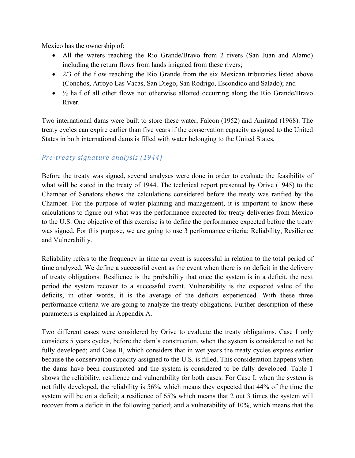Mexico has the ownership of:

- All the waters reaching the Rio Grande/Bravo from 2 rivers (San Juan and Alamo) including the return flows from lands irrigated from these rivers;
- 2/3 of the flow reaching the Rio Grande from the six Mexican tributaries listed above (Conchos, Arroyo Las Vacas, San Diego, San Rodrigo, Escondido and Salado); and
- $\bullet$   $\frac{1}{2}$  half of all other flows not otherwise allotted occurring along the Rio Grande/Bravo River.

Two international dams were built to store these water, Falcon (1952) and Amistad (1968). The treaty cycles can expire earlier than five years if the conservation capacity assigned to the United States in both international dams is filled with water belonging to the United States*.*

## *Pre‐treaty signature analysis (1944)*

Before the treaty was signed, several analyses were done in order to evaluate the feasibility of what will be stated in the treaty of 1944. The technical report presented by Orive (1945) to the Chamber of Senators shows the calculations considered before the treaty was ratified by the Chamber. For the purpose of water planning and management, it is important to know these calculations to figure out what was the performance expected for treaty deliveries from Mexico to the U.S. One objective of this exercise is to define the performance expected before the treaty was signed. For this purpose, we are going to use 3 performance criteria: Reliability, Resilience and Vulnerability.

Reliability refers to the frequency in time an event is successful in relation to the total period of time analyzed. We define a successful event as the event when there is no deficit in the delivery of treaty obligations. Resilience is the probability that once the system is in a deficit, the next period the system recover to a successful event. Vulnerability is the expected value of the deficits, in other words, it is the average of the deficits experienced. With these three performance criteria we are going to analyze the treaty obligations. Further description of these parameters is explained in Appendix A.

Two different cases were considered by Orive to evaluate the treaty obligations. Case I only considers 5 years cycles, before the dam's construction, when the system is considered to not be fully developed; and Case II, which considers that in wet years the treaty cycles expires earlier because the conservation capacity assigned to the U.S. is filled. This consideration happens when the dams have been constructed and the system is considered to be fully developed. Table 1 shows the reliability, resilience and vulnerability for both cases. For Case I, when the system is not fully developed, the reliability is 56%, which means they expected that 44% of the time the system will be on a deficit; a resilience of 65% which means that 2 out 3 times the system will recover from a deficit in the following period; and a vulnerability of 10%, which means that the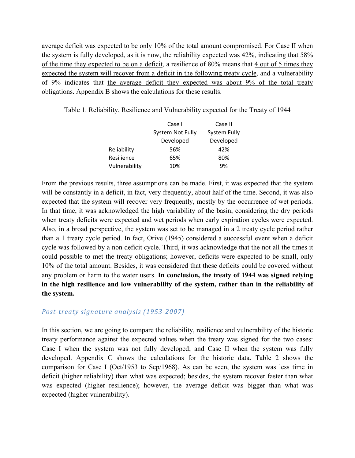average deficit was expected to be only 10% of the total amount compromised. For Case II when the system is fully developed, as it is now, the reliability expected was 42%, indicating that 58% of the time they expected to be on a deficit, a resilience of 80% means that 4 out of 5 times they expected the system will recover from a deficit in the following treaty cycle, and a vulnerability of 9% indicates that the average deficit they expected was about 9% of the total treaty obligations. Appendix B shows the calculations for these results.

Case I Case II System Not Fully System Fully Developed Developed Reliability 56% 42% Resilience 65% 80% Vulnerability 10% 9%

Table 1. Reliability, Resilience and Vulnerability expected for the Treaty of 1944

From the previous results, three assumptions can be made. First, it was expected that the system will be constantly in a deficit, in fact, very frequently, about half of the time. Second, it was also expected that the system will recover very frequently, mostly by the occurrence of wet periods. In that time, it was acknowledged the high variability of the basin, considering the dry periods when treaty deficits were expected and wet periods when early expiration cycles were expected. Also, in a broad perspective, the system was set to be managed in a 2 treaty cycle period rather than a 1 treaty cycle period. In fact, Orive (1945) considered a successful event when a deficit cycle was followed by a non deficit cycle. Third, it was acknowledge that the not all the times it could possible to met the treaty obligations; however, deficits were expected to be small, only 10% of the total amount. Besides, it was considered that these deficits could be covered without any problem or harm to the water users. **In conclusion, the treaty of 1944 was signed relying in the high resilience and low vulnerability of the system, rather than in the reliability of the system.**

### *Post‐treaty signature analysis (1953‐2007)*

In this section, we are going to compare the reliability, resilience and vulnerability of the historic treaty performance against the expected values when the treaty was signed for the two cases: Case I when the system was not fully developed; and Case II when the system was fully developed. Appendix C shows the calculations for the historic data. Table 2 shows the comparison for Case I (Oct/1953 to Sep/1968). As can be seen, the system was less time in deficit (higher reliability) than what was expected; besides, the system recover faster than what was expected (higher resilience); however, the average deficit was bigger than what was expected (higher vulnerability).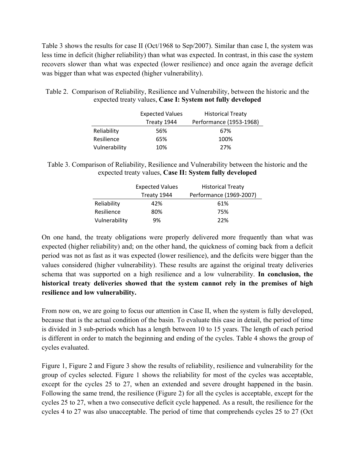Table 3 shows the results for case II (Oct/1968 to Sep/2007). Similar than case I, the system was less time in deficit (higher reliability) than what was expected. In contrast, in this case the system recovers slower than what was expected (lower resilience) and once again the average deficit was bigger than what was expected (higher vulnerability).

Table 2. Comparison of Reliability, Resilience and Vulnerability, between the historic and the expected treaty values, **Case I: System not fully developed** 

|               | <b>Expected Values</b> | <b>Historical Treaty</b> |
|---------------|------------------------|--------------------------|
|               | Treaty 1944            | Performance (1953-1968)  |
| Reliability   | 56%                    | 67%                      |
| Resilience    | 65%                    | 100%                     |
| Vulnerability | 10%                    | 27%                      |

Table 3. Comparison of Reliability, Resilience and Vulnerability between the historic and the expected treaty values, **Case II: System fully developed** 

|               | <b>Expected Values</b> | <b>Historical Treaty</b> |
|---------------|------------------------|--------------------------|
|               | Treaty 1944            | Performance (1969-2007)  |
| Reliability   | 42%                    | 61%                      |
| Resilience    | 80%                    | 75%                      |
| Vulnerability | 9%                     | 22%                      |

On one hand, the treaty obligations were properly delivered more frequently than what was expected (higher reliability) and; on the other hand, the quickness of coming back from a deficit period was not as fast as it was expected (lower resilience), and the deficits were bigger than the values considered (higher vulnerability). These results are against the original treaty deliveries schema that was supported on a high resilience and a low vulnerability. **In conclusion, the historical treaty deliveries showed that the system cannot rely in the premises of high resilience and low vulnerability.**

From now on, we are going to focus our attention in Case II, when the system is fully developed, because that is the actual condition of the basin. To evaluate this case in detail, the period of time is divided in 3 sub-periods which has a length between 10 to 15 years. The length of each period is different in order to match the beginning and ending of the cycles. Table 4 shows the group of cycles evaluated.

Figure 1, Figure 2 and Figure 3 show the results of reliability, resilience and vulnerability for the group of cycles selected. Figure 1 shows the reliability for most of the cycles was acceptable, except for the cycles 25 to 27, when an extended and severe drought happened in the basin. Following the same trend, the resilience (Figure 2) for all the cycles is acceptable, except for the cycles 25 to 27, when a two consecutive deficit cycle happened. As a result, the resilience for the cycles 4 to 27 was also unacceptable. The period of time that comprehends cycles 25 to 27 (Oct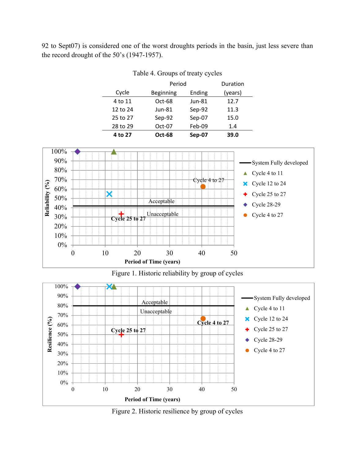92 to Sept07) is considered one of the worst droughts periods in the basin, just less severe than the record drought of the 50's (1947-1957).

Table 4. Groups of treaty cycles

| Period<br>Duration<br>Ending<br>(years)<br>Cycle<br><b>Beginning</b><br>$Oct-68$<br>4 to 11<br>$Jun-81$<br>12.7 |          |          |        |      |  |
|-----------------------------------------------------------------------------------------------------------------|----------|----------|--------|------|--|
|                                                                                                                 |          |          |        |      |  |
|                                                                                                                 |          |          |        |      |  |
|                                                                                                                 |          |          |        |      |  |
|                                                                                                                 | 12 to 24 | $Jun-81$ | Sep-92 | 11.3 |  |
| Sep-07<br>25 to 27<br>Sep-92<br>15.0                                                                            |          |          |        |      |  |
| Feb-09<br>28 to 29<br>Oct-07<br>1.4                                                                             |          |          |        |      |  |
| 39.0<br><b>Oct-68</b><br>Sep-07<br>4 to 27                                                                      |          |          |        |      |  |



Figure 1. Historic reliability by group of cycles

**Period of Time (years)**



Figure 2. Historic resilience by group of cycles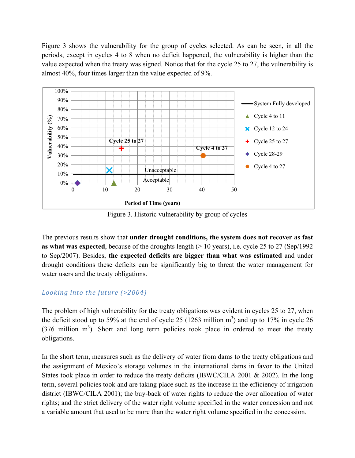Figure 3 shows the vulnerability for the group of cycles selected. As can be seen, in all the periods, except in cycles 4 to 8 when no deficit happened, the vulnerability is higher than the value expected when the treaty was signed. Notice that for the cycle 25 to 27, the vulnerability is almost 40%, four times larger than the value expected of 9%.



Figure 3. Historic vulnerability by group of cycles

The previous results show that **under drought conditions, the system does not recover as fast as what was expected**, because of the droughts length (> 10 years), i.e. cycle 25 to 27 (Sep/1992 to Sep/2007). Besides, **the expected deficits are bigger than what was estimated** and under drought conditions these deficits can be significantly big to threat the water management for water users and the treaty obligations.

## *Looking into the future (>2004)*

The problem of high vulnerability for the treaty obligations was evident in cycles 25 to 27, when the deficit stood up to 59% at the end of cycle 25 (1263 million  $m<sup>3</sup>$ ) and up to 17% in cycle 26  $(376 \text{ million } m^3)$ . Short and long term policies took place in ordered to meet the treaty obligations.

In the short term, measures such as the delivery of water from dams to the treaty obligations and the assignment of Mexico's storage volumes in the international dams in favor to the United States took place in order to reduce the treaty deficits (IBWC/CILA 2001 & 2002). In the long term, several policies took and are taking place such as the increase in the efficiency of irrigation district (IBWC/CILA 2001); the buy-back of water rights to reduce the over allocation of water rights; and the strict delivery of the water right volume specified in the water concession and not a variable amount that used to be more than the water right volume specified in the concession.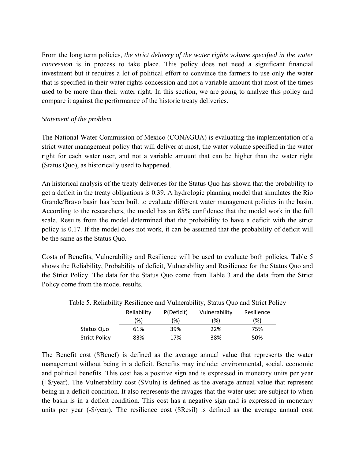From the long term policies, *the strict delivery of the water rights volume specified in the water concession* is in process to take place. This policy does not need a significant financial investment but it requires a lot of political effort to convince the farmers to use only the water that is specified in their water rights concession and not a variable amount that most of the times used to be more than their water right. In this section, we are going to analyze this policy and compare it against the performance of the historic treaty deliveries.

#### *Statement of the problem*

The National Water Commission of Mexico (CONAGUA) is evaluating the implementation of a strict water management policy that will deliver at most, the water volume specified in the water right for each water user, and not a variable amount that can be higher than the water right (Status Quo), as historically used to happened.

An historical analysis of the treaty deliveries for the Status Quo has shown that the probability to get a deficit in the treaty obligations is 0.39. A hydrologic planning model that simulates the Rio Grande/Bravo basin has been built to evaluate different water management policies in the basin. According to the researchers, the model has an 85% confidence that the model work in the full scale. Results from the model determined that the probability to have a deficit with the strict policy is 0.17. If the model does not work, it can be assumed that the probability of deficit will be the same as the Status Quo.

Costs of Benefits, Vulnerability and Resilience will be used to evaluate both policies. Table 5 shows the Reliability, Probability of deficit, Vulnerability and Resilience for the Status Quo and the Strict Policy. The data for the Status Quo come from Table 3 and the data from the Strict Policy come from the model results.

|                      | $\sigma$ . Kehadinty Kesmence and Vulncladinty, status $\sigma$ ud and strict I only |            |               |            |  |
|----------------------|--------------------------------------------------------------------------------------|------------|---------------|------------|--|
|                      | Reliability                                                                          | P(Deficit) | Vulnerability | Resilience |  |
|                      | (%)                                                                                  | (%)        | (%)           | (%)        |  |
| Status Quo           | 61%                                                                                  | 39%        | 22%           | 75%        |  |
| <b>Strict Policy</b> | 83%                                                                                  | 17%        | 38%           | 50%        |  |

Table 5. Reliability Resilience and Vulnerability, Status Quo and Strict Policy

The Benefit cost (\$Benef) is defined as the average annual value that represents the water management without being in a deficit. Benefits may include: environmental, social, economic and political benefits. This cost has a positive sign and is expressed in monetary units per year (+\$/year). The Vulnerability cost (\$Vuln) is defined as the average annual value that represent being in a deficit condition. It also represents the ravages that the water user are subject to when the basin is in a deficit condition. This cost has a negative sign and is expressed in monetary units per year (-\$/year). The resilience cost (\$Resil) is defined as the average annual cost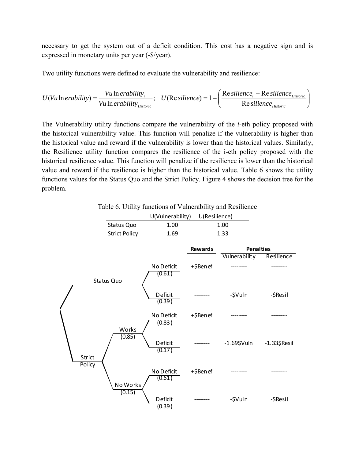necessary to get the system out of a deficit condition. This cost has a negative sign and is expressed in monetary units per year (-\$/year).

Two utility functions were defined to evaluate the vulnerability and resilience:

$$
U(Vu \ln erability) = \frac{Vu \ln erability_i}{Vu \ln erability_{Historic}}; \quad U(Resilience) = 1 - \left(\frac{Resilience_i - Resilience_{Historic}}{Resilience_{Historic}}\right)
$$

The Vulnerability utility functions compare the vulnerability of the *i*-eth policy proposed with the historical vulnerability value. This function will penalize if the vulnerability is higher than the historical value and reward if the vulnerability is lower than the historical values. Similarly, the Resilience utility function compares the resilience of the i-eth policy proposed with the historical resilience value. This function will penalize if the resilience is lower than the historical value and reward if the resilience is higher than the historical value. Table 6 shows the utility functions values for the Status Quo and the Strict Policy. Figure 4 shows the decision tree for the problem.

Table 6. Utility functions of Vulnerability and Resilience

|                      | U(Vulnerability) | U(Resilience) |  |
|----------------------|------------------|---------------|--|
| Status Quo           | 1.00             | 1.00          |  |
| <b>Strict Policy</b> | 1.69             | 1.33          |  |
|                      |                  |               |  |
|                      |                  |               |  |

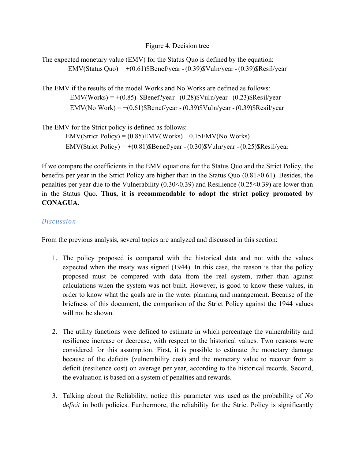#### Figure 4. Decision tree

The expected monetary value (EMV) for the Status Quo is defined by the equation: EMV(Status Quo) =  $+(0.61)$ \$Benef/year -  $(0.39)$ \$Vuln/year -  $(0.39)$ \$Resil/year

The EMV if the results of the model Works and No Works are defined as follows: EMV(No Work) =  $+(0.61)$ \$Benef/year - (0.39)\$Vuln/year - (0.39)\$Resil/year EMV(Works) =  $+(0.85)$  \$Benef?year -  $(0.28)$ \$Vuln/year -  $(0.23)$ \$Resil/year

The EMV for the Strict policy is defined as follows: EMV(Strict Policy) =  $+(0.81)$ \$Benef/year -  $(0.30)$ \$Vuln/year -  $(0.25)$ \$Resil/year EMV(Strict Policy) = (0.85)EMV(Works) + 0.15EMV(No Works)

If we compare the coefficients in the EMV equations for the Status Quo and the Strict Policy, the benefits per year in the Strict Policy are higher than in the Status Quo (0.81>0.61). Besides, the penalties per year due to the Vulnerability (0.30<0.39) and Resilience (0.25<0.39) are lower than in the Status Quo. **Thus, it is recommendable to adopt the strict policy promoted by CONAGUA.**

### *Discussion*

From the previous analysis, several topics are analyzed and discussed in this section:

- 1. The policy proposed is compared with the historical data and not with the values expected when the treaty was signed (1944). In this case, the reason is that the policy proposed must be compared with data from the real system, rather than against calculations when the system was not built. However, is good to know these values, in order to know what the goals are in the water planning and management. Because of the briefness of this document, the comparison of the Strict Policy against the 1944 values will not be shown.
- 2. The utility functions were defined to estimate in which percentage the vulnerability and resilience increase or decrease, with respect to the historical values. Two reasons were considered for this assumption. First, it is possible to estimate the monetary damage because of the deficits (vulnerability cost) and the monetary value to recover from a deficit (resilience cost) on average per year, according to the historical records. Second, the evaluation is based on a system of penalties and rewards.
- 3. Talking about the Reliability, notice this parameter was used as the probability of *No deficit* in both policies. Furthermore, the reliability for the Strict Policy is significantly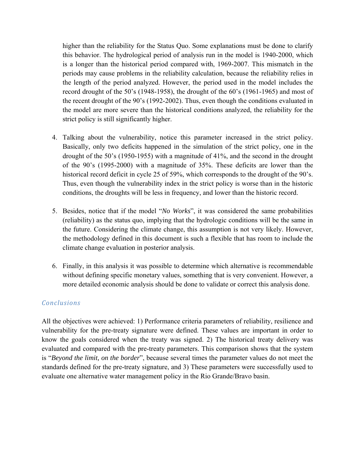higher than the reliability for the Status Quo. Some explanations must be done to clarify this behavior. The hydrological period of analysis run in the model is 1940-2000, which is a longer than the historical period compared with, 1969-2007. This mismatch in the periods may cause problems in the reliability calculation, because the reliability relies in the length of the period analyzed. However, the period used in the model includes the record drought of the 50's (1948-1958), the drought of the 60's (1961-1965) and most of the recent drought of the 90's (1992-2002). Thus, even though the conditions evaluated in the model are more severe than the historical conditions analyzed, the reliability for the strict policy is still significantly higher.

- 4. Talking about the vulnerability, notice this parameter increased in the strict policy. Basically, only two deficits happened in the simulation of the strict policy, one in the drought of the 50's (1950-1955) with a magnitude of 41%, and the second in the drought of the 90's (1995-2000) with a magnitude of 35%. These deficits are lower than the historical record deficit in cycle 25 of 59%, which corresponds to the drought of the 90's. Thus, even though the vulnerability index in the strict policy is worse than in the historic conditions, the droughts will be less in frequency, and lower than the historic record.
- 5. Besides, notice that if the model "*No Works*", it was considered the same probabilities (reliability) as the status quo, implying that the hydrologic conditions will be the same in the future. Considering the climate change, this assumption is not very likely. However, the methodology defined in this document is such a flexible that has room to include the climate change evaluation in posterior analysis.
- 6. Finally, in this analysis it was possible to determine which alternative is recommendable without defining specific monetary values, something that is very convenient. However, a more detailed economic analysis should be done to validate or correct this analysis done.

## *Conclusions*

All the objectives were achieved: 1) Performance criteria parameters of reliability, resilience and vulnerability for the pre-treaty signature were defined. These values are important in order to know the goals considered when the treaty was signed. 2) The historical treaty delivery was evaluated and compared with the pre-treaty parameters. This comparison shows that the system is "*Beyond the limit, on the border*", because several times the parameter values do not meet the standards defined for the pre-treaty signature, and 3) These parameters were successfully used to evaluate one alternative water management policy in the Rio Grande/Bravo basin.